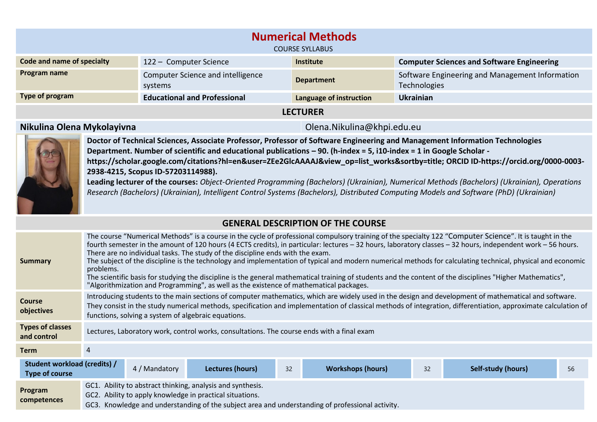| <b>Numerical Methods</b><br><b>COURSE SYLLABUS</b>                                                    |                                                                                                 |                   |                                                                 |  |  |  |
|-------------------------------------------------------------------------------------------------------|-------------------------------------------------------------------------------------------------|-------------------|-----------------------------------------------------------------|--|--|--|
| Code and name of specialty                                                                            | <b>Computer Sciences and Software Engineering</b><br>122 - Computer Science<br><b>Institute</b> |                   |                                                                 |  |  |  |
| Program name                                                                                          | Computer Science and intelligence<br>systems                                                    | <b>Department</b> | Software Engineering and Management Information<br>Technologies |  |  |  |
| Type of program<br>Language of instruction<br><b>Educational and Professional</b><br><b>Ukrainian</b> |                                                                                                 |                   |                                                                 |  |  |  |
| <b>LECTURER</b>                                                                                       |                                                                                                 |                   |                                                                 |  |  |  |

## **Nikulina Olena Mykolayivna** Olena.Nikulina@khpi.edu.eu



**Doctor of Technical Sciences, Associate Professor, Professor of Software Engineering and Management Information Technologies Department. Number of scientific and educational publications – 90. (h-index = 5, i10-index = 1 in Google Scholar https://scholar.google.com/citations?hl=en&user=ZEe2GlcAAAAJ&view\_op=list\_works&sortby=title; ORCID ID-https://orcid.org/0000-0003- 2938-4215, Scopus ID-57203114988). Leading lecturer of the courses:** *Object-Oriented Programming (Bachelors) (Ukrainian), Numerical Methods (Bachelors) (Ukrainian), Operations* 

*Research (Bachelors) (Ukrainian), Intelligent Control Systems (Bachelors), Distributed Computing Models and Software (PhD) (Ukrainian)*

## **GENERAL DESCRIPTION OF THE COURSE**

| <b>Summary</b>                                        | The course "Numerical Methods" is a course in the cycle of professional compulsory training of the specialty 122 "Computer Science". It is taught in the<br>fourth semester in the amount of 120 hours (4 ECTS credits), in particular: lectures - 32 hours, laboratory classes - 32 hours, independent work - 56 hours.<br>There are no individual tasks. The study of the discipline ends with the exam.<br>The subject of the discipline is the technology and implementation of typical and modern numerical methods for calculating technical, physical and economic<br>problems.<br>The scientific basis for studying the discipline is the general mathematical training of students and the content of the disciplines "Higher Mathematics",<br>"Algorithmization and Programming", as well as the existence of mathematical packages. |               |                  |    |                          |    |                           |    |
|-------------------------------------------------------|------------------------------------------------------------------------------------------------------------------------------------------------------------------------------------------------------------------------------------------------------------------------------------------------------------------------------------------------------------------------------------------------------------------------------------------------------------------------------------------------------------------------------------------------------------------------------------------------------------------------------------------------------------------------------------------------------------------------------------------------------------------------------------------------------------------------------------------------|---------------|------------------|----|--------------------------|----|---------------------------|----|
| <b>Course</b><br>objectives                           | Introducing students to the main sections of computer mathematics, which are widely used in the design and development of mathematical and software.<br>They consist in the study numerical methods, specification and implementation of classical methods of integration, differentiation, approximate calculation of<br>functions, solving a system of algebraic equations.                                                                                                                                                                                                                                                                                                                                                                                                                                                                  |               |                  |    |                          |    |                           |    |
| <b>Types of classes</b><br>and control                | Lectures, Laboratory work, control works, consultations. The course ends with a final exam                                                                                                                                                                                                                                                                                                                                                                                                                                                                                                                                                                                                                                                                                                                                                     |               |                  |    |                          |    |                           |    |
| <b>Term</b>                                           | 4                                                                                                                                                                                                                                                                                                                                                                                                                                                                                                                                                                                                                                                                                                                                                                                                                                              |               |                  |    |                          |    |                           |    |
| Student workload (credits) /<br><b>Type of course</b> |                                                                                                                                                                                                                                                                                                                                                                                                                                                                                                                                                                                                                                                                                                                                                                                                                                                | 4 / Mandatory | Lectures (hours) | 32 | <b>Workshops (hours)</b> | 32 | <b>Self-study (hours)</b> | 56 |
| Program<br>competences                                | GC1. Ability to abstract thinking, analysis and synthesis.<br>GC2. Ability to apply knowledge in practical situations.<br>GC3. Knowledge and understanding of the subject area and understanding of professional activity.                                                                                                                                                                                                                                                                                                                                                                                                                                                                                                                                                                                                                     |               |                  |    |                          |    |                           |    |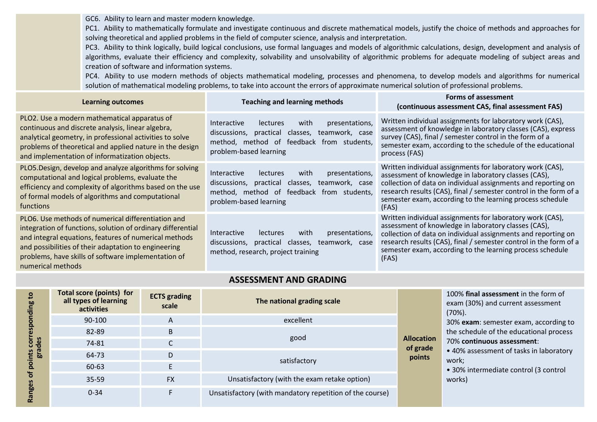GC6.  Ability to learn and master modern knowledge.

PC1. Ability to mathematically formulate and investigate continuous and discrete mathematical models, justify the choice of methods and approaches for solving theoretical and applied problems in the field of computer science, analysis and interpretation.

PС3.  Ability to think logically, build logical conclusions, use formal languages and models of algorithmic calculations, design, development and analysis of algorithms, evaluate their efficiency and complexity, solvability and unsolvability of algorithmic problems for adequate modeling of subject areas and creation of software and information systems.

PC4. Ability to use modern methods of objects mathematical modeling, processes and phenomena, to develop models and algorithms for numerical solution of mathematical modeling problems, to take into account the errors of approximate numerical solution of professional problems.

| <b>Learning outcomes</b>                                                                                                                                                                                                                                                                                       | <b>Teaching and learning methods</b>                                                                                                                                                              | <b>Forms of assessment</b><br>(continuous assessment CAS, final assessment FAS)                                                                                                                                                                                                                                               |
|----------------------------------------------------------------------------------------------------------------------------------------------------------------------------------------------------------------------------------------------------------------------------------------------------------------|---------------------------------------------------------------------------------------------------------------------------------------------------------------------------------------------------|-------------------------------------------------------------------------------------------------------------------------------------------------------------------------------------------------------------------------------------------------------------------------------------------------------------------------------|
| PLO2. Use a modern mathematical apparatus of<br>continuous and discrete analysis, linear algebra,<br>analytical geometry, in professional activities to solve<br>problems of theoretical and applied nature in the design<br>and implementation of informatization objects.                                    | presentations,<br>with<br><b>Interactive</b><br><b>lectures</b><br>practical classes, teamwork, case<br>discussions,<br>feedback from<br>method, method of<br>students,<br>problem-based learning | Written individual assignments for laboratory work (CAS),<br>assessment of knowledge in laboratory classes (CAS), express<br>survey (CAS), final / semester control in the form of a<br>semester exam, according to the schedule of the educational<br>process (FAS)                                                          |
| PLO5. Design, develop and analyze algorithms for solving<br>computational and logical problems, evaluate the<br>efficiency and complexity of algorithms based on the use<br>of formal models of algorithms and computational<br>functions                                                                      | presentations,<br>with<br><i>Interactive</i><br><b>lectures</b><br>practical<br>discussions,<br>classes,<br>teamwork, case<br>method, method of feedback from students,<br>problem-based learning | Written individual assignments for laboratory work (CAS),<br>assessment of knowledge in laboratory classes (CAS),<br>collection of data on individual assignments and reporting on<br>research results (CAS), final / semester control in the form of a<br>semester exam, according to the learning process schedule<br>(FAS) |
| PLO6. Use methods of numerical differentiation and<br>integration of functions, solution of ordinary differential<br>and integral equations, features of numerical methods<br>and possibilities of their adaptation to engineering<br>problems, have skills of software implementation of<br>numerical methods | presentations,<br><b>Interactive</b><br>with<br><b>lectures</b><br>discussions,<br>practical classes, teamwork, case<br>method, research, project training                                        | Written individual assignments for laboratory work (CAS),<br>assessment of knowledge in laboratory classes (CAS),<br>collection of data on individual assignments and reporting on<br>research results (CAS), final / semester control in the form of a<br>semester exam, according to the learning process schedule<br>(FAS) |

## **ASSESSMENT AND GRADING**

| ខ<br>cor<br>des<br>era<br>Bra<br>Ō.<br>ъ | <b>Total score (points) for</b><br>all types of learning<br>activities | <b>ECTS</b> grading<br>scale | The national grading scale                               |                                         | 100% final assessment in the form of<br>exam (30%) and current assessment<br>$(70\%)$ .<br>30% exam: semester exam, according to<br>the schedule of the educational process<br>70% continuous assessment:<br>• 40% assessment of tasks in laboratory<br>work;<br>• 30% intermediate control (3 control<br>works) |
|------------------------------------------|------------------------------------------------------------------------|------------------------------|----------------------------------------------------------|-----------------------------------------|------------------------------------------------------------------------------------------------------------------------------------------------------------------------------------------------------------------------------------------------------------------------------------------------------------------|
|                                          | 90-100                                                                 | A                            | excellent                                                |                                         |                                                                                                                                                                                                                                                                                                                  |
|                                          | 82-89                                                                  | B                            |                                                          |                                         |                                                                                                                                                                                                                                                                                                                  |
|                                          | 74-81                                                                  |                              | good                                                     | <b>Allocation</b><br>of grade<br>points |                                                                                                                                                                                                                                                                                                                  |
|                                          | 64-73                                                                  | D                            |                                                          |                                         |                                                                                                                                                                                                                                                                                                                  |
|                                          | 60-63                                                                  |                              | satisfactory                                             |                                         |                                                                                                                                                                                                                                                                                                                  |
|                                          | $35 - 59$                                                              | <b>FX</b>                    | Unsatisfactory (with the exam retake option)             |                                         |                                                                                                                                                                                                                                                                                                                  |
|                                          | $0 - 34$                                                               |                              | Unsatisfactory (with mandatory repetition of the course) |                                         |                                                                                                                                                                                                                                                                                                                  |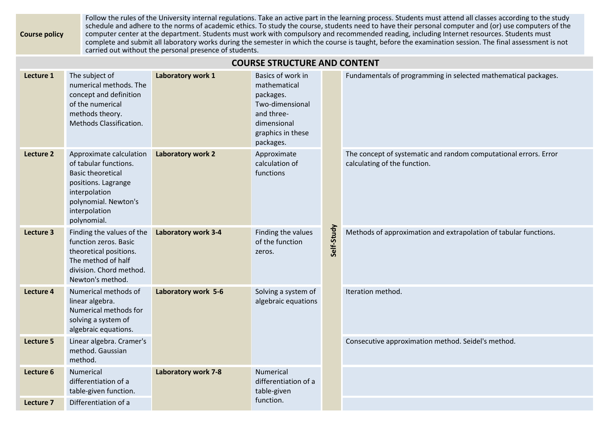**Course policy** Follow the rules of the University internal regulations. Take an active part in the learning process. Students must attend all classes according to the study schedule and adhere to the norms of academic ethics. To study the course, students need to have their personal computer and (or) use computers of the computer center at the department. Students must work with compulsory and recommended reading, including Internet resources. Students must complete and submit all laboratory works during the semester in which the course is taught, before the examination session. The final assessment is not carried out without the personal presence of students.

## **COURSE STRUCTURE AND CONTENT**

| Lecture 1 | The subject of<br>numerical methods. The<br>concept and definition<br>of the numerical<br>methods theory.<br>Methods Classification.                                         | Laboratory work 1          | Basics of work in<br>mathematical<br>packages.<br>Two-dimensional<br>and three-<br>dimensional<br>graphics in these<br>packages. |            | Fundamentals of programming in selected mathematical packages.                                   |
|-----------|------------------------------------------------------------------------------------------------------------------------------------------------------------------------------|----------------------------|----------------------------------------------------------------------------------------------------------------------------------|------------|--------------------------------------------------------------------------------------------------|
| Lecture 2 | Approximate calculation<br>of tabular functions.<br><b>Basic theoretical</b><br>positions. Lagrange<br>interpolation<br>polynomial. Newton's<br>interpolation<br>polynomial. | Laboratory work 2          | Approximate<br>calculation of<br>functions                                                                                       |            | The concept of systematic and random computational errors. Error<br>calculating of the function. |
| Lecture 3 | Finding the values of the<br>function zeros. Basic<br>theoretical positions.<br>The method of half<br>division. Chord method.<br>Newton's method.                            | Laboratory work 3-4        | Finding the values<br>of the function<br>zeros.                                                                                  | Self-Study | Methods of approximation and extrapolation of tabular functions.                                 |
| Lecture 4 | Numerical methods of<br>linear algebra.<br>Numerical methods for<br>solving a system of<br>algebraic equations.                                                              | Laboratory work 5-6        | Solving a system of<br>algebraic equations                                                                                       |            | Iteration method.                                                                                |
| Lecture 5 | Linear algebra. Cramer's<br>method. Gaussian<br>method.                                                                                                                      |                            |                                                                                                                                  |            | Consecutive approximation method. Seidel's method.                                               |
| Lecture 6 | Numerical<br>differentiation of a<br>table-given function.                                                                                                                   | <b>Laboratory work 7-8</b> | Numerical<br>differentiation of a<br>table-given                                                                                 |            |                                                                                                  |
| Lecture 7 | Differentiation of a                                                                                                                                                         |                            | function.                                                                                                                        |            |                                                                                                  |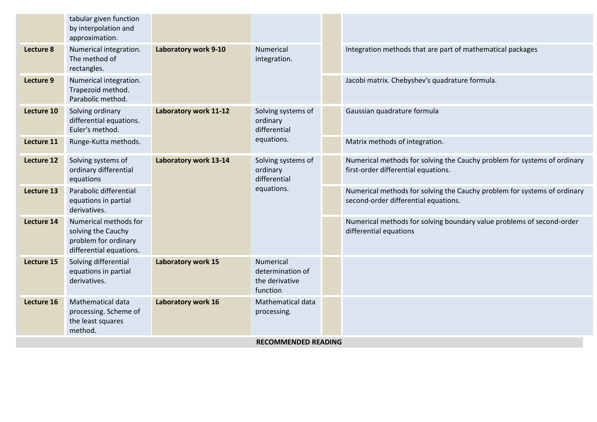|                            | tabular given function<br>by interpolation and<br>approximation.                               |                             |                                                              |  |                                                                                                                 |                                                                                                                  |  |
|----------------------------|------------------------------------------------------------------------------------------------|-----------------------------|--------------------------------------------------------------|--|-----------------------------------------------------------------------------------------------------------------|------------------------------------------------------------------------------------------------------------------|--|
| Lecture 8                  | Numerical integration.<br>The method of<br>rectangles.                                         | <b>Laboratory work 9-10</b> | Numerical<br>integration.                                    |  | Integration methods that are part of mathematical packages                                                      |                                                                                                                  |  |
| Lecture 9                  | Numerical integration.<br>Trapezoid method.<br>Parabolic method.                               |                             |                                                              |  | Jacobi matrix. Chebyshev's quadrature formula.                                                                  |                                                                                                                  |  |
| Lecture 10                 | Solving ordinary<br>differential equations.<br>Euler's method.                                 | Laboratory work 11-12       | Solving systems of<br>ordinary<br>differential               |  | Gaussian quadrature formula                                                                                     |                                                                                                                  |  |
| Lecture 11                 | Runge-Kutta methods.                                                                           |                             | equations.                                                   |  | Matrix methods of integration.                                                                                  |                                                                                                                  |  |
| <b>Lecture 12</b>          | Solving systems of<br>ordinary differential<br>equations                                       | Laboratory work 13-14       | Solving systems of<br>ordinary<br>differential<br>equations. |  | Numerical methods for solving the Cauchy problem for systems of ordinary<br>first-order differential equations. |                                                                                                                  |  |
| Lecture 13                 | Parabolic differential<br>equations in partial<br>derivatives.                                 |                             |                                                              |  |                                                                                                                 | Numerical methods for solving the Cauchy problem for systems of ordinary<br>second-order differential equations. |  |
| Lecture 14                 | Numerical methods for<br>solving the Cauchy<br>problem for ordinary<br>differential equations. |                             |                                                              |  | Numerical methods for solving boundary value problems of second-order<br>differential equations                 |                                                                                                                  |  |
| Lecture 15                 | Solving differential<br>equations in partial<br>derivatives.                                   | Laboratory work 15          | Numerical<br>determination of<br>the derivative<br>function  |  |                                                                                                                 |                                                                                                                  |  |
| Lecture 16                 | Mathematical data<br>processing. Scheme of<br>the least squares<br>method.                     | Laboratory work 16          | Mathematical data<br>processing.                             |  |                                                                                                                 |                                                                                                                  |  |
| <b>RECOMMENDED READING</b> |                                                                                                |                             |                                                              |  |                                                                                                                 |                                                                                                                  |  |